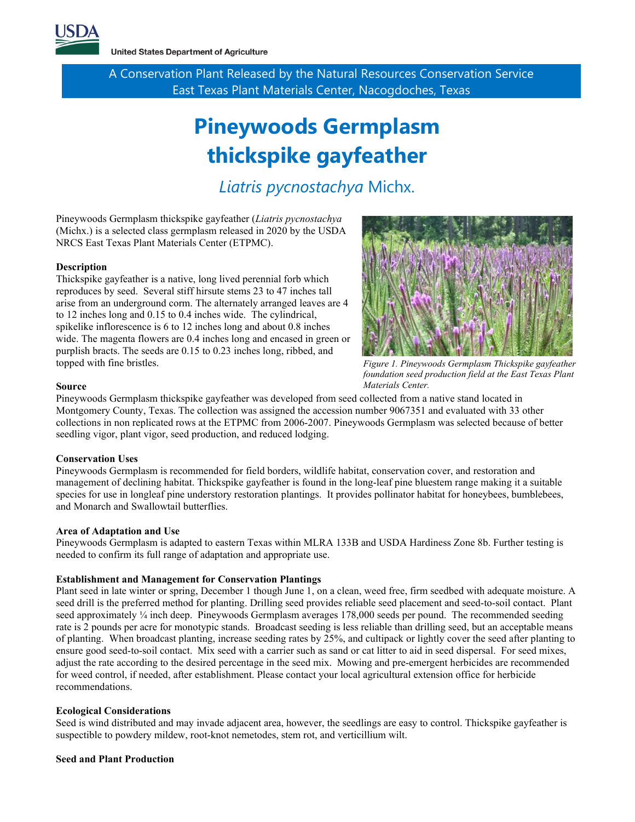

**United States Department of Agriculture** 

A Conservation Plant Released by the Natural Resources Conservation Service East Texas Plant Materials Center, Nacogdoches, Texas

# **Pineywoods Germplasm thickspike gayfeather**

## *Liatris pycnostachya* Michx.

Pineywoods Germplasm thickspike gayfeather (*Liatris pycnostachya* (Michx.) is a selected class germplasm released in 2020 by the USDA NRCS East Texas Plant Materials Center (ETPMC).

#### **Description**

Thickspike gayfeather is a native, long lived perennial forb which reproduces by seed. Several stiff hirsute stems 23 to 47 inches tall arise from an underground corm. The alternately arranged leaves are 4 to 12 inches long and 0.15 to 0.4 inches wide. The cylindrical, spikelike inflorescence is 6 to 12 inches long and about 0.8 inches wide. The magenta flowers are 0.4 inches long and encased in green or purplish bracts. The seeds are 0.15 to 0.23 inches long, ribbed, and topped with fine bristles.



*Figure 1. Pineywoods Germplasm Thickspike gayfeather foundation seed production field at the East Texas Plant Materials Center.*

#### **Source**

Pineywoods Germplasm thickspike gayfeather was developed from seed collected from a native stand located in Montgomery County, Texas. The collection was assigned the accession number 9067351 and evaluated with 33 other collections in non replicated rows at the ETPMC from 2006-2007. Pineywoods Germplasm was selected because of better seedling vigor, plant vigor, seed production, and reduced lodging.

#### **Conservation Uses**

Pineywoods Germplasm is recommended for field borders, wildlife habitat, conservation cover, and restoration and management of declining habitat. Thickspike gayfeather is found in the long-leaf pine bluestem range making it a suitable species for use in longleaf pine understory restoration plantings. It provides pollinator habitat for honeybees, bumblebees, and Monarch and Swallowtail butterflies.

#### **Area of Adaptation and Use**

Pineywoods Germplasm is adapted to eastern Texas within MLRA 133B and USDA Hardiness Zone 8b. Further testing is needed to confirm its full range of adaptation and appropriate use.

#### <span id="page-0-0"></span>**Establishment and Management for Conservation Plantings**

Plant seed in late winter or spring, December 1 though June 1, on a clean, weed free, firm seedbed with adequate moisture. A seed drill is the preferred method for planting. Drilling seed provides reliable seed placement and seed-to-soil contact. Plant seed approximately ¼ inch deep. Pineywoods Germplasm averages 178,000 seeds per pound. The recommended seeding rate is 2 pounds per acre for monotypic stands. Broadcast seeding is less reliable than drilling seed, but an acceptable means of planting. When broadcast planting, increase seeding rates by 25%, and cultipack or lightly cover the seed after planting to ensure good seed-to-soil contact. Mix seed with a carrier such as sand or cat litter to aid in seed dispersal. For seed mixes, adjust the rate according to the desired percentage in the seed mix. Mowing and pre-emergent herbicides are recommended for weed control, if needed, after establishment. Please contact your local agricultural extension office for herbicide recommendations.

#### **Ecological Considerations**

Seed is wind distributed and may invade adjacent area, however, the seedlings are easy to control. Thickspike gayfeather is suspectible to powdery mildew, root-knot nemetodes, stem rot, and verticillium wilt.

#### **Seed and Plant Production**